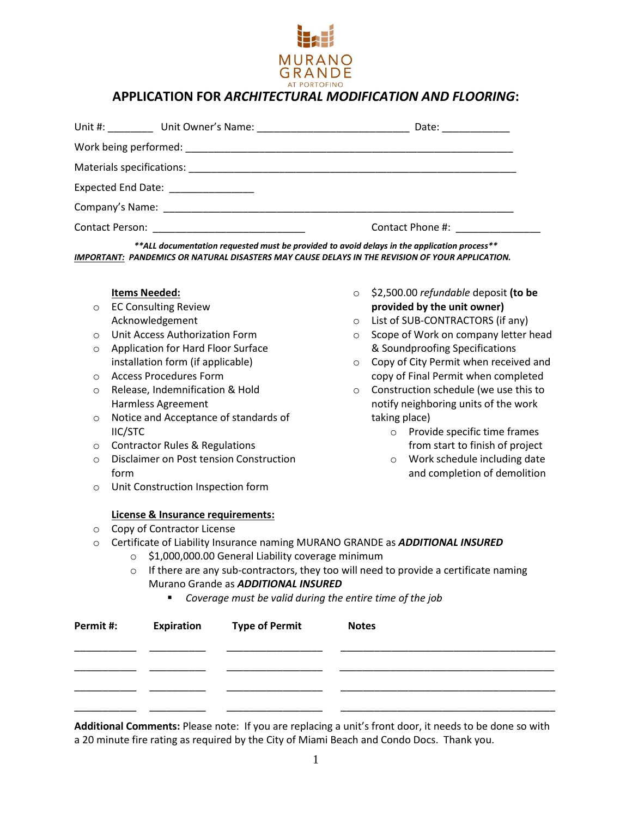

## **APPLICATION FOR** *ARCHITECTURAL MODIFICATION AND FLOORING***:**

|                                                                                                                |                                    | Date: ___________ |  |  |
|----------------------------------------------------------------------------------------------------------------|------------------------------------|-------------------|--|--|
|                                                                                                                |                                    |                   |  |  |
|                                                                                                                |                                    |                   |  |  |
|                                                                                                                | Expected End Date: _______________ |                   |  |  |
| Company's Name: Name: Name and Separate and Separate and Separate and Separate and Separate and Separate and S |                                    |                   |  |  |
|                                                                                                                |                                    | Contact Phone #:  |  |  |

*\*\*ALL documentation requested must be provided to avoid delays in the application process\*\* IMPORTANT: PANDEMICS OR NATURAL DISASTERS MAY CAUSE DELAYS IN THE REVISION OF YOUR APPLICATION.*

> o \$2,500.00 *refundable* deposit **(to be provided by the unit owner)** o List of SUB-CONTRACTORS (if any) o Scope of Work on company letter head & Soundproofing Specifications o Copy of City Permit when received and copy of Final Permit when completed o Construction schedule (we use this to notify neighboring units of the work

> > o Provide specific time frames from start to finish of project o Work schedule including date and completion of demolition

taking place)

#### **Items Needed:**

- o EC Consulting Review Acknowledgement
- o Unit Access Authorization Form
- o Application for Hard Floor Surface installation form (if applicable)
- o Access Procedures Form
- o Release, Indemnification & Hold Harmless Agreement
- o Notice and Acceptance of standards of IIC/STC
- o Contractor Rules & Regulations
- o Disclaimer on Post tension Construction form
- o Unit Construction Inspection form

#### **License & Insurance requirements:**

- o Copy of Contractor License
- o Certificate of Liability Insurance naming MURANO GRANDE as *ADDITIONAL INSURED*
	- o \$1,000,000.00 General Liability coverage minimum
		- $\circ$  If there are any sub-contractors, they too will need to provide a certificate naming Murano Grande as *ADDITIONAL INSURED*
			- *Coverage must be valid during the entire time of the job*

| Permit #: | <b>Expiration</b> Type of Permit | <b>Notes</b> |
|-----------|----------------------------------|--------------|
|           |                                  |              |
|           |                                  |              |
|           |                                  |              |
|           |                                  |              |

**Additional Comments:** Please note: If you are replacing a unit's front door, it needs to be done so with a 20 minute fire rating as required by the City of Miami Beach and Condo Docs. Thank you.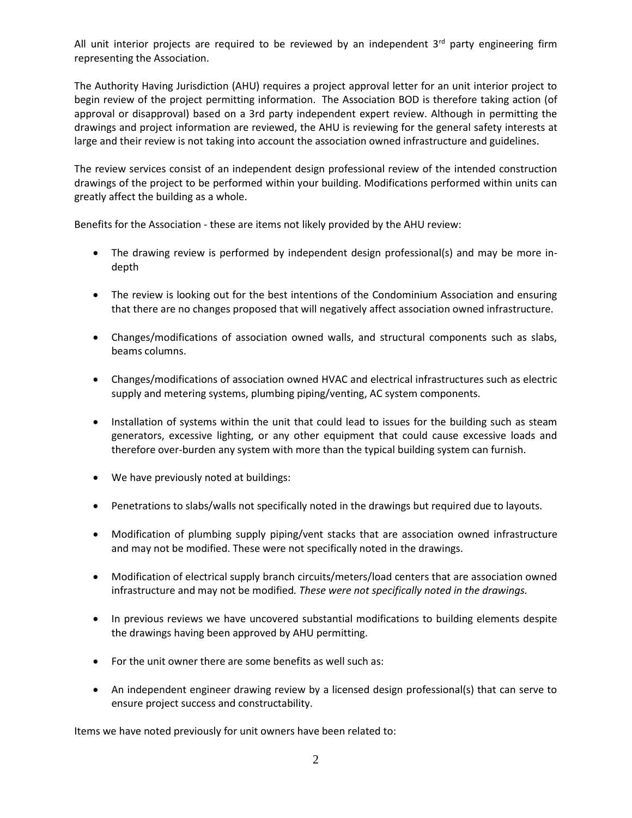All unit interior projects are required to be reviewed by an independent  $3<sup>rd</sup>$  party engineering firm representing the Association.

The Authority Having Jurisdiction (AHU) requires a project approval letter for an unit interior project to begin review of the project permitting information. The Association BOD is therefore taking action (of approval or disapproval) based on a 3rd party independent expert review. Although in permitting the drawings and project information are reviewed, the AHU is reviewing for the general safety interests at large and their review is not taking into account the association owned infrastructure and guidelines.

The review services consist of an independent design professional review of the intended construction drawings of the project to be performed within your building. Modifications performed within units can greatly affect the building as a whole.

Benefits for the Association - these are items not likely provided by the AHU review:

- The drawing review is performed by independent design professional(s) and may be more indepth
- The review is looking out for the best intentions of the Condominium Association and ensuring that there are no changes proposed that will negatively affect association owned infrastructure.
- Changes/modifications of association owned walls, and structural components such as slabs, beams columns.
- Changes/modifications of association owned HVAC and electrical infrastructures such as electric supply and metering systems, plumbing piping/venting, AC system components.
- Installation of systems within the unit that could lead to issues for the building such as steam generators, excessive lighting, or any other equipment that could cause excessive loads and therefore over-burden any system with more than the typical building system can furnish.
- We have previously noted at buildings:
- Penetrations to slabs/walls not specifically noted in the drawings but required due to layouts.
- Modification of plumbing supply piping/vent stacks that are association owned infrastructure and may not be modified. These were not specifically noted in the drawings.
- Modification of electrical supply branch circuits/meters/load centers that are association owned infrastructure and may not be modified*. These were not specifically noted in the drawings.*
- In previous reviews we have uncovered substantial modifications to building elements despite the drawings having been approved by AHU permitting.
- For the unit owner there are some benefits as well such as:
- An independent engineer drawing review by a licensed design professional(s) that can serve to ensure project success and constructability.

Items we have noted previously for unit owners have been related to: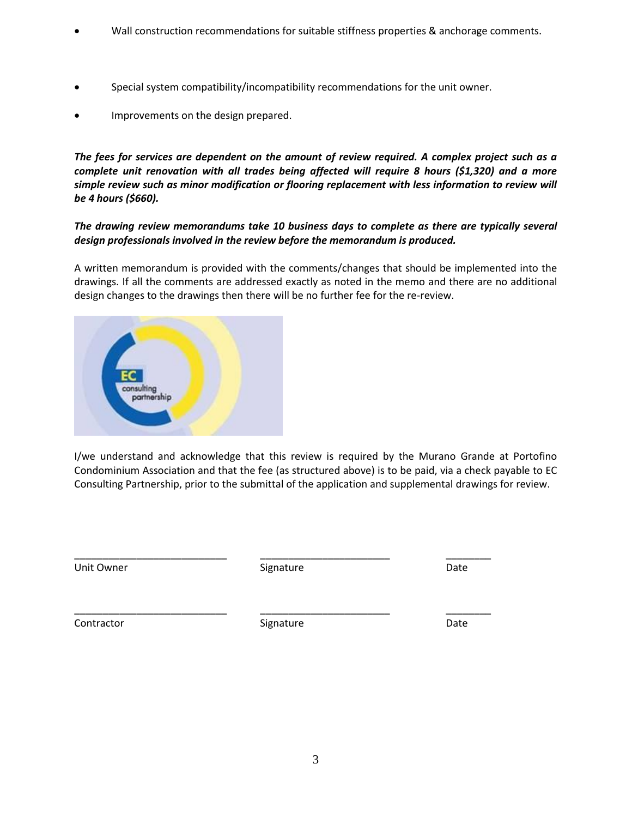- Wall construction recommendations for suitable stiffness properties & anchorage comments.
- Special system compatibility/incompatibility recommendations for the unit owner.
- Improvements on the design prepared.

*The fees for services are dependent on the amount of review required. A complex project such as a complete unit renovation with all trades being affected will require 8 hours (\$1,320) and a more simple review such as minor modification or flooring replacement with less information to review will be 4 hours (\$660).* 

### *The drawing review memorandums take 10 business days to complete as there are typically several design professionals involved in the review before the memorandum is produced.*

A written memorandum is provided with the comments/changes that should be implemented into the drawings. If all the comments are addressed exactly as noted in the memo and there are no additional design changes to the drawings then there will be no further fee for the re-review.



I/we understand and acknowledge that this review is required by the Murano Grande at Portofino Condominium Association and that the fee (as structured above) is to be paid, via a check payable to EC Consulting Partnership, prior to the submittal of the application and supplemental drawings for review.

Unit Owner **Contract Contract Contract Contract Contract Contract Contract Contract Contract Contract Contract Contract Contract Contract Contract Contract Contract Contract Contract Contract Contract Contract Contract Con** 

\_\_\_\_\_\_\_\_\_\_\_\_\_\_\_\_\_\_\_\_\_\_\_\_\_\_\_ \_\_\_\_\_\_\_\_\_\_\_\_\_\_\_\_\_\_\_\_\_\_\_ \_\_\_\_\_\_\_\_

Contractor **Contractor** Signature **Contractor** Date

\_\_\_\_\_\_\_\_\_\_\_\_\_\_\_\_\_\_\_\_\_\_\_\_\_\_\_ \_\_\_\_\_\_\_\_\_\_\_\_\_\_\_\_\_\_\_\_\_\_\_ \_\_\_\_\_\_\_\_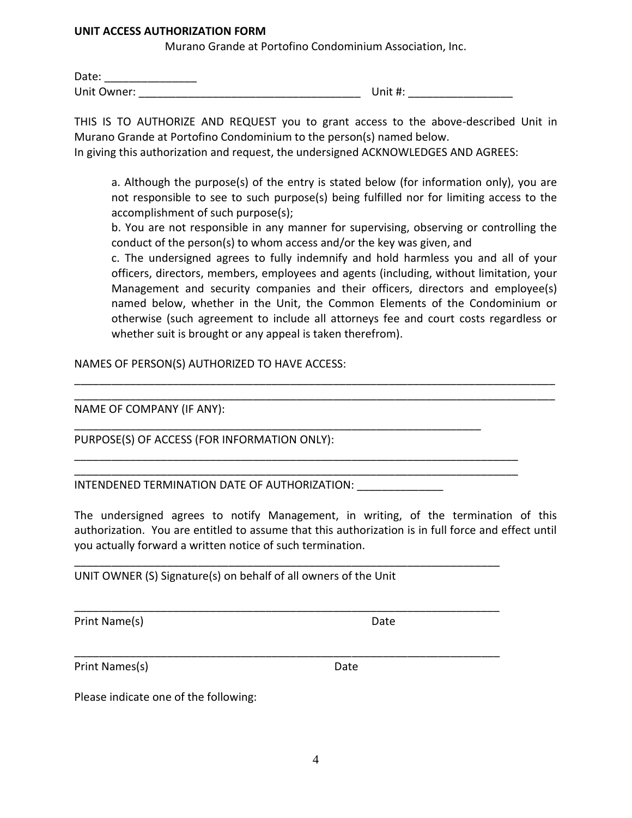#### **UNIT ACCESS AUTHORIZATION FORM**

Murano Grande at Portofino Condominium Association, Inc.

| Date:       |         |
|-------------|---------|
| Unit Owner: | Unit #: |

THIS IS TO AUTHORIZE AND REQUEST you to grant access to the above-described Unit in Murano Grande at Portofino Condominium to the person(s) named below.

In giving this authorization and request, the undersigned ACKNOWLEDGES AND AGREES:

a. Although the purpose(s) of the entry is stated below (for information only), you are not responsible to see to such purpose(s) being fulfilled nor for limiting access to the accomplishment of such purpose(s);

b. You are not responsible in any manner for supervising, observing or controlling the conduct of the person(s) to whom access and/or the key was given, and

c. The undersigned agrees to fully indemnify and hold harmless you and all of your officers, directors, members, employees and agents (including, without limitation, your Management and security companies and their officers, directors and employee(s) named below, whether in the Unit, the Common Elements of the Condominium or otherwise (such agreement to include all attorneys fee and court costs regardless or whether suit is brought or any appeal is taken therefrom).

NAMES OF PERSON(S) AUTHORIZED TO HAVE ACCESS:

NAME OF COMPANY (IF ANY):

PURPOSE(S) OF ACCESS (FOR INFORMATION ONLY):

INTENDENED TERMINATION DATE OF AUTHORIZATION:

The undersigned agrees to notify Management, in writing, of the termination of this authorization. You are entitled to assume that this authorization is in full force and effect until you actually forward a written notice of such termination.

\_\_\_\_\_\_\_\_\_\_\_\_\_\_\_\_\_\_\_\_\_\_\_\_\_\_\_\_\_\_\_\_\_\_\_\_\_\_\_\_\_\_\_\_\_\_\_\_\_\_\_\_\_\_\_\_\_\_\_\_\_\_\_\_\_\_\_\_\_\_\_\_\_\_\_\_\_\_ \_\_\_\_\_\_\_\_\_\_\_\_\_\_\_\_\_\_\_\_\_\_\_\_\_\_\_\_\_\_\_\_\_\_\_\_\_\_\_\_\_\_\_\_\_\_\_\_\_\_\_\_\_\_\_\_\_\_\_\_\_\_\_\_\_\_\_\_\_\_\_\_\_\_\_\_\_\_

\_\_\_\_\_\_\_\_\_\_\_\_\_\_\_\_\_\_\_\_\_\_\_\_\_\_\_\_\_\_\_\_\_\_\_\_\_\_\_\_\_\_\_\_\_\_\_\_\_\_\_\_\_\_\_\_\_\_\_\_\_\_\_\_\_\_

\_\_\_\_\_\_\_\_\_\_\_\_\_\_\_\_\_\_\_\_\_\_\_\_\_\_\_\_\_\_\_\_\_\_\_\_\_\_\_\_\_\_\_\_\_\_\_\_\_\_\_\_\_\_\_\_\_\_\_\_\_\_\_\_\_\_\_\_\_\_\_\_ \_\_\_\_\_\_\_\_\_\_\_\_\_\_\_\_\_\_\_\_\_\_\_\_\_\_\_\_\_\_\_\_\_\_\_\_\_\_\_\_\_\_\_\_\_\_\_\_\_\_\_\_\_\_\_\_\_\_\_\_\_\_\_\_\_\_\_\_\_\_\_\_

\_\_\_\_\_\_\_\_\_\_\_\_\_\_\_\_\_\_\_\_\_\_\_\_\_\_\_\_\_\_\_\_\_\_\_\_\_\_\_\_\_\_\_\_\_\_\_\_\_\_\_\_\_\_\_\_\_\_\_\_\_\_\_\_\_\_\_\_\_

\_\_\_\_\_\_\_\_\_\_\_\_\_\_\_\_\_\_\_\_\_\_\_\_\_\_\_\_\_\_\_\_\_\_\_\_\_\_\_\_\_\_\_\_\_\_\_\_\_\_\_\_\_\_\_\_\_\_\_\_\_\_\_\_\_\_\_\_\_

\_\_\_\_\_\_\_\_\_\_\_\_\_\_\_\_\_\_\_\_\_\_\_\_\_\_\_\_\_\_\_\_\_\_\_\_\_\_\_\_\_\_\_\_\_\_\_\_\_\_\_\_\_\_\_\_\_\_\_\_\_\_\_\_\_\_\_\_\_

UNIT OWNER (S) Signature(s) on behalf of all owners of the Unit

Print Name(s) Date

Print Names(s) Date

Please indicate one of the following: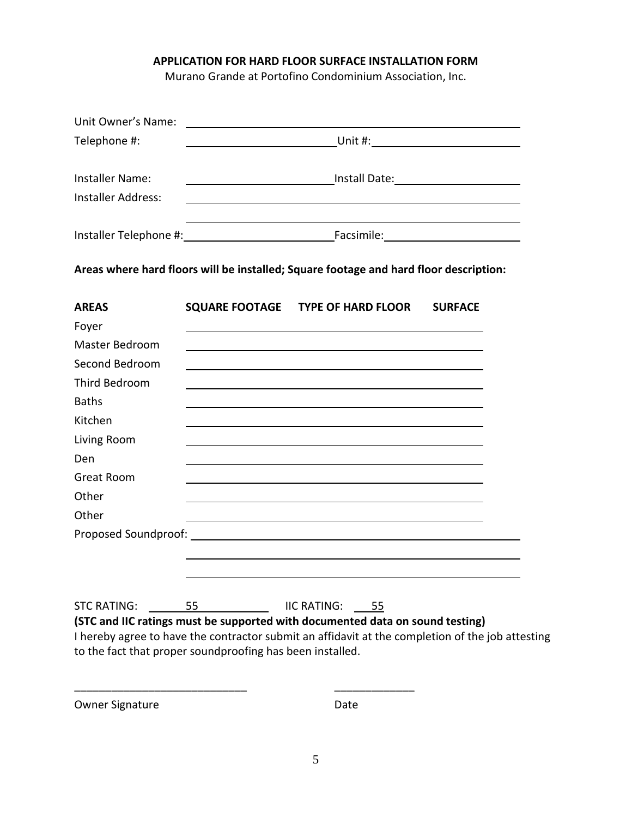### **APPLICATION FOR HARD FLOOR SURFACE INSTALLATION FORM**

Murano Grande at Portofino Condominium Association, Inc.

| Unit Owner's Name:                                        |    |                                                                                                                      |                |  |  |
|-----------------------------------------------------------|----|----------------------------------------------------------------------------------------------------------------------|----------------|--|--|
| Telephone #:                                              |    |                                                                                                                      |                |  |  |
|                                                           |    |                                                                                                                      |                |  |  |
| <b>Installer Name:</b>                                    |    |                                                                                                                      |                |  |  |
| <b>Installer Address:</b>                                 |    | ,我们也不会有什么。""我们的人,我们也不会有什么?""我们的人,我们也不会有什么?""我们的人,我们也不会有什么?""我们的人,我们也不会有什么?""我们的人                                     |                |  |  |
|                                                           |    |                                                                                                                      |                |  |  |
|                                                           |    | Areas where hard floors will be installed; Square footage and hard floor description:                                |                |  |  |
| <b>AREAS</b>                                              |    | SQUARE FOOTAGE TYPE OF HARD FLOOR                                                                                    | <b>SURFACE</b> |  |  |
| Foyer                                                     |    |                                                                                                                      |                |  |  |
| <b>Master Bedroom</b>                                     |    |                                                                                                                      |                |  |  |
| Second Bedroom                                            |    |                                                                                                                      |                |  |  |
| <b>Third Bedroom</b>                                      |    |                                                                                                                      |                |  |  |
| <b>Baths</b>                                              |    |                                                                                                                      |                |  |  |
| Kitchen                                                   |    |                                                                                                                      |                |  |  |
| Living Room                                               |    |                                                                                                                      |                |  |  |
| Den                                                       |    |                                                                                                                      |                |  |  |
| <b>Great Room</b>                                         |    |                                                                                                                      |                |  |  |
| Other                                                     |    |                                                                                                                      |                |  |  |
| Other                                                     |    | <u> 1989 - Johann Stein, marwolaethau a bhann an t-Amhain an t-Amhain an t-Amhain an t-Amhain an t-Amhain an t-A</u> |                |  |  |
|                                                           |    |                                                                                                                      |                |  |  |
|                                                           |    |                                                                                                                      |                |  |  |
|                                                           |    |                                                                                                                      |                |  |  |
| <b>STC RATING:</b>                                        | 55 | IIC RATING: 55                                                                                                       |                |  |  |
|                                                           |    | (STC and IIC ratings must be supported with documented data on sound testing)                                        |                |  |  |
|                                                           |    | I hereby agree to have the contractor submit an affidavit at the completion of the job attesting                     |                |  |  |
| to the fact that proper soundproofing has been installed. |    |                                                                                                                      |                |  |  |

Owner Signature Date

\_\_\_\_\_\_\_\_\_\_\_\_\_\_\_\_\_\_\_\_\_\_\_\_\_\_\_\_ \_\_\_\_\_\_\_\_\_\_\_\_\_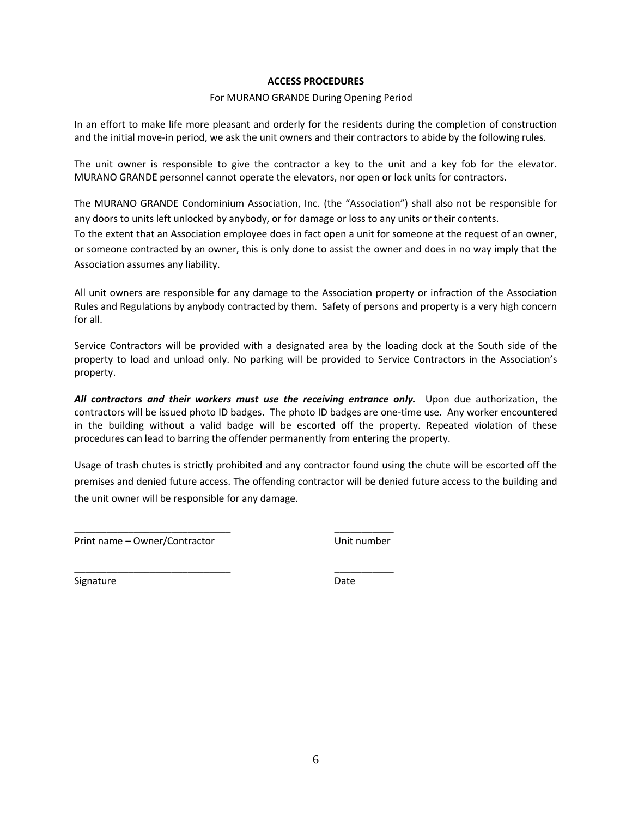#### **ACCESS PROCEDURES**

#### For MURANO GRANDE During Opening Period

In an effort to make life more pleasant and orderly for the residents during the completion of construction and the initial move-in period, we ask the unit owners and their contractors to abide by the following rules.

The unit owner is responsible to give the contractor a key to the unit and a key fob for the elevator. MURANO GRANDE personnel cannot operate the elevators, nor open or lock units for contractors.

The MURANO GRANDE Condominium Association, Inc. (the "Association") shall also not be responsible for any doors to units left unlocked by anybody, or for damage or loss to any units or their contents. To the extent that an Association employee does in fact open a unit for someone at the request of an owner,

or someone contracted by an owner, this is only done to assist the owner and does in no way imply that the Association assumes any liability.

All unit owners are responsible for any damage to the Association property or infraction of the Association Rules and Regulations by anybody contracted by them. Safety of persons and property is a very high concern for all.

Service Contractors will be provided with a designated area by the loading dock at the South side of the property to load and unload only. No parking will be provided to Service Contractors in the Association's property.

*All contractors and their workers must use the receiving entrance only.* Upon due authorization, the contractors will be issued photo ID badges. The photo ID badges are one-time use. Any worker encountered in the building without a valid badge will be escorted off the property. Repeated violation of these procedures can lead to barring the offender permanently from entering the property.

Usage of trash chutes is strictly prohibited and any contractor found using the chute will be escorted off the premises and denied future access. The offending contractor will be denied future access to the building and the unit owner will be responsible for any damage.

Print name – Owner/Contractor entity and the Unit number

\_\_\_\_\_\_\_\_\_\_\_\_\_\_\_\_\_\_\_\_\_\_\_\_\_\_\_\_\_ \_\_\_\_\_\_\_\_\_\_\_

\_\_\_\_\_\_\_\_\_\_\_\_\_\_\_\_\_\_\_\_\_\_\_\_\_\_\_\_\_ \_\_\_\_\_\_\_\_\_\_\_

Signature Date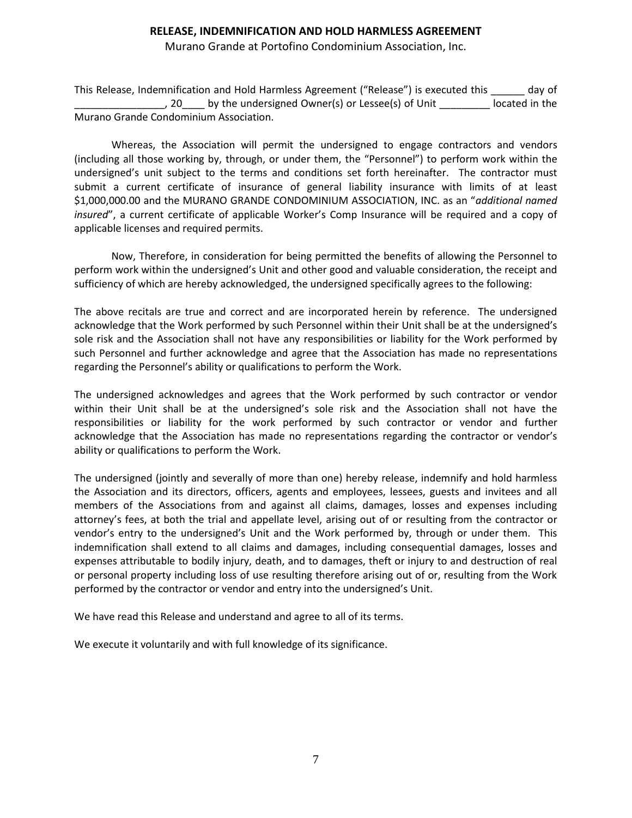### **RELEASE, INDEMNIFICATION AND HOLD HARMLESS AGREEMENT**

Murano Grande at Portofino Condominium Association, Inc.

This Release, Indemnification and Hold Harmless Agreement ("Release") is executed this \_\_\_\_\_\_ day of , 20 by the undersigned Owner(s) or Lessee(s) of Unit located in the Murano Grande Condominium Association.

Whereas, the Association will permit the undersigned to engage contractors and vendors (including all those working by, through, or under them, the "Personnel") to perform work within the undersigned's unit subject to the terms and conditions set forth hereinafter. The contractor must submit a current certificate of insurance of general liability insurance with limits of at least \$1,000,000.00 and the MURANO GRANDE CONDOMINIUM ASSOCIATION, INC. as an "*additional named insured*", a current certificate of applicable Worker's Comp Insurance will be required and a copy of applicable licenses and required permits.

Now, Therefore, in consideration for being permitted the benefits of allowing the Personnel to perform work within the undersigned's Unit and other good and valuable consideration, the receipt and sufficiency of which are hereby acknowledged, the undersigned specifically agrees to the following:

The above recitals are true and correct and are incorporated herein by reference. The undersigned acknowledge that the Work performed by such Personnel within their Unit shall be at the undersigned's sole risk and the Association shall not have any responsibilities or liability for the Work performed by such Personnel and further acknowledge and agree that the Association has made no representations regarding the Personnel's ability or qualifications to perform the Work.

The undersigned acknowledges and agrees that the Work performed by such contractor or vendor within their Unit shall be at the undersigned's sole risk and the Association shall not have the responsibilities or liability for the work performed by such contractor or vendor and further acknowledge that the Association has made no representations regarding the contractor or vendor's ability or qualifications to perform the Work.

The undersigned (jointly and severally of more than one) hereby release, indemnify and hold harmless the Association and its directors, officers, agents and employees, lessees, guests and invitees and all members of the Associations from and against all claims, damages, losses and expenses including attorney's fees, at both the trial and appellate level, arising out of or resulting from the contractor or vendor's entry to the undersigned's Unit and the Work performed by, through or under them. This indemnification shall extend to all claims and damages, including consequential damages, losses and expenses attributable to bodily injury, death, and to damages, theft or injury to and destruction of real or personal property including loss of use resulting therefore arising out of or, resulting from the Work performed by the contractor or vendor and entry into the undersigned's Unit.

We have read this Release and understand and agree to all of its terms.

We execute it voluntarily and with full knowledge of its significance.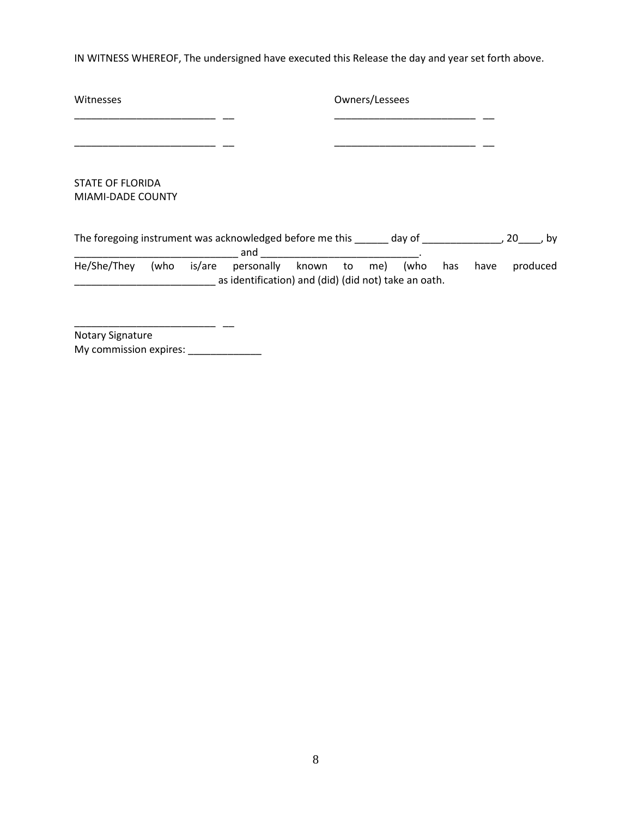IN WITNESS WHEREOF, The undersigned have executed this Release the day and year set forth above.

| Witnesses                                                       |      |        | Owners/Lessees                                       |  |  |  |     |      |      |          |
|-----------------------------------------------------------------|------|--------|------------------------------------------------------|--|--|--|-----|------|------|----------|
|                                                                 |      |        |                                                      |  |  |  |     |      |      |          |
|                                                                 |      |        |                                                      |  |  |  |     |      |      |          |
| <b>STATE OF FLORIDA</b>                                         |      |        |                                                      |  |  |  |     |      |      |          |
| MIAMI-DADE COUNTY                                               |      |        |                                                      |  |  |  |     |      |      |          |
|                                                                 |      |        |                                                      |  |  |  |     |      |      |          |
| The foregoing instrument was acknowledged before me this day of |      |        | and                                                  |  |  |  |     |      | , 20 | bv       |
| He/She/They                                                     | (who | is/are | personally known to me) (who                         |  |  |  | has | have |      | produced |
|                                                                 |      |        | as identification) and (did) (did not) take an oath. |  |  |  |     |      |      |          |
|                                                                 |      |        |                                                      |  |  |  |     |      |      |          |
|                                                                 |      |        |                                                      |  |  |  |     |      |      |          |
|                                                                 |      |        |                                                      |  |  |  |     |      |      |          |

Notary Signature My commission expires: \_\_\_\_\_\_\_\_\_\_\_\_\_\_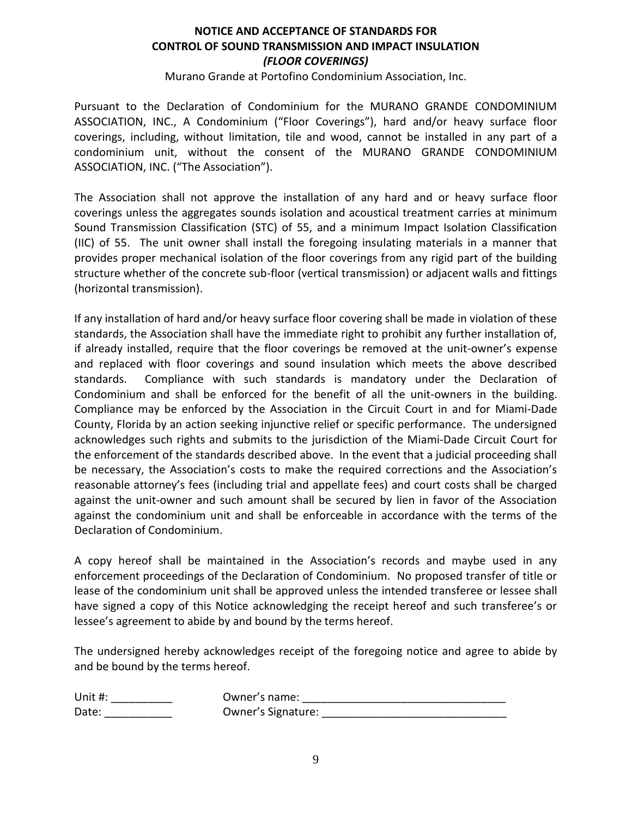### **NOTICE AND ACCEPTANCE OF STANDARDS FOR CONTROL OF SOUND TRANSMISSION AND IMPACT INSULATION** *(FLOOR COVERINGS)*

Murano Grande at Portofino Condominium Association, Inc.

Pursuant to the Declaration of Condominium for the MURANO GRANDE CONDOMINIUM ASSOCIATION, INC., A Condominium ("Floor Coverings"), hard and/or heavy surface floor coverings, including, without limitation, tile and wood, cannot be installed in any part of a condominium unit, without the consent of the MURANO GRANDE CONDOMINIUM ASSOCIATION, INC. ("The Association").

The Association shall not approve the installation of any hard and or heavy surface floor coverings unless the aggregates sounds isolation and acoustical treatment carries at minimum Sound Transmission Classification (STC) of 55, and a minimum Impact Isolation Classification (IIC) of 55. The unit owner shall install the foregoing insulating materials in a manner that provides proper mechanical isolation of the floor coverings from any rigid part of the building structure whether of the concrete sub-floor (vertical transmission) or adjacent walls and fittings (horizontal transmission).

If any installation of hard and/or heavy surface floor covering shall be made in violation of these standards, the Association shall have the immediate right to prohibit any further installation of, if already installed, require that the floor coverings be removed at the unit-owner's expense and replaced with floor coverings and sound insulation which meets the above described standards. Compliance with such standards is mandatory under the Declaration of Condominium and shall be enforced for the benefit of all the unit-owners in the building. Compliance may be enforced by the Association in the Circuit Court in and for Miami-Dade County, Florida by an action seeking injunctive relief or specific performance. The undersigned acknowledges such rights and submits to the jurisdiction of the Miami-Dade Circuit Court for the enforcement of the standards described above. In the event that a judicial proceeding shall be necessary, the Association's costs to make the required corrections and the Association's reasonable attorney's fees (including trial and appellate fees) and court costs shall be charged against the unit-owner and such amount shall be secured by lien in favor of the Association against the condominium unit and shall be enforceable in accordance with the terms of the Declaration of Condominium.

A copy hereof shall be maintained in the Association's records and maybe used in any enforcement proceedings of the Declaration of Condominium. No proposed transfer of title or lease of the condominium unit shall be approved unless the intended transferee or lessee shall have signed a copy of this Notice acknowledging the receipt hereof and such transferee's or lessee's agreement to abide by and bound by the terms hereof.

The undersigned hereby acknowledges receipt of the foregoing notice and agree to abide by and be bound by the terms hereof.

| Unit #: | Owner's name:      |
|---------|--------------------|
| Date:   | Owner's Signature: |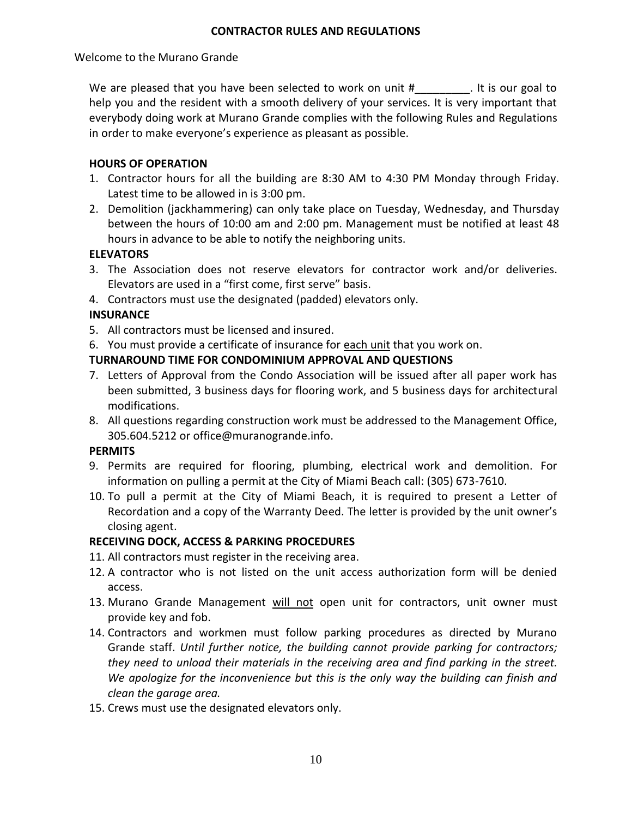### **CONTRACTOR RULES AND REGULATIONS**

Welcome to the Murano Grande

We are pleased that you have been selected to work on unit  $#$  are not is our goal to help you and the resident with a smooth delivery of your services. It is very important that everybody doing work at Murano Grande complies with the following Rules and Regulations in order to make everyone's experience as pleasant as possible.

### **HOURS OF OPERATION**

- 1. Contractor hours for all the building are 8:30 AM to 4:30 PM Monday through Friday. Latest time to be allowed in is 3:00 pm.
- 2. Demolition (jackhammering) can only take place on Tuesday, Wednesday, and Thursday between the hours of 10:00 am and 2:00 pm. Management must be notified at least 48 hours in advance to be able to notify the neighboring units.

### **ELEVATORS**

- 3. The Association does not reserve elevators for contractor work and/or deliveries. Elevators are used in a "first come, first serve" basis.
- 4. Contractors must use the designated (padded) elevators only.

## **INSURANCE**

- 5. All contractors must be licensed and insured.
- 6. You must provide a certificate of insurance for each unit that you work on.

## **TURNAROUND TIME FOR CONDOMINIUM APPROVAL AND QUESTIONS**

- 7. Letters of Approval from the Condo Association will be issued after all paper work has been submitted, 3 business days for flooring work, and 5 business days for architectural modifications.
- 8. All questions regarding construction work must be addressed to the Management Office, 305.604.5212 or office@muranogrande.info.

### **PERMITS**

- 9. Permits are required for flooring, plumbing, electrical work and demolition. For information on pulling a permit at the City of Miami Beach call: (305) 673-7610.
- 10. To pull a permit at the City of Miami Beach, it is required to present a Letter of Recordation and a copy of the Warranty Deed. The letter is provided by the unit owner's closing agent.

## **RECEIVING DOCK, ACCESS & PARKING PROCEDURES**

- 11. All contractors must register in the receiving area.
- 12. A contractor who is not listed on the unit access authorization form will be denied access.
- 13. Murano Grande Management will not open unit for contractors, unit owner must provide key and fob.
- 14. Contractors and workmen must follow parking procedures as directed by Murano Grande staff. *Until further notice, the building cannot provide parking for contractors; they need to unload their materials in the receiving area and find parking in the street. We apologize for the inconvenience but this is the only way the building can finish and clean the garage area.*
- 15. Crews must use the designated elevators only.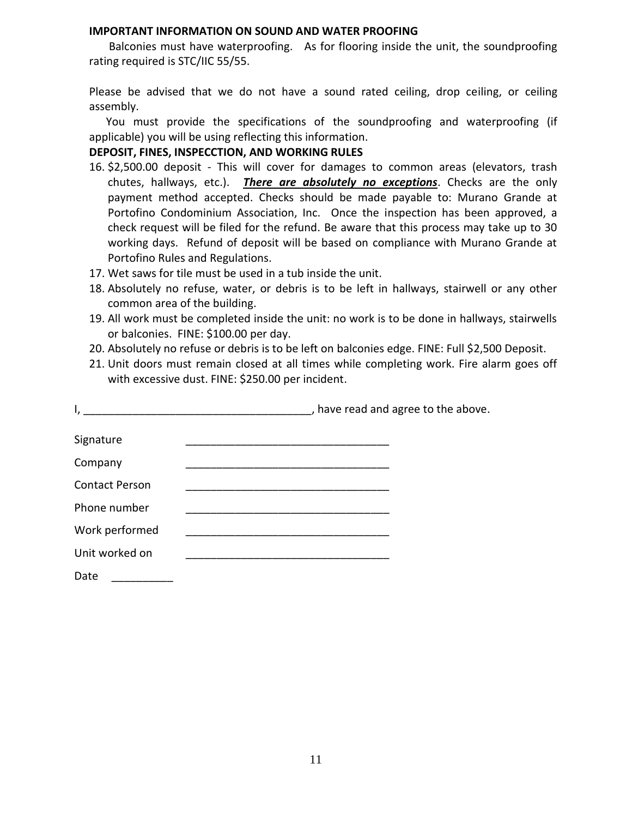### **IMPORTANT INFORMATION ON SOUND AND WATER PROOFING**

 Balconies must have waterproofing. As for flooring inside the unit, the soundproofing rating required is STC/IIC 55/55.

Please be advised that we do not have a sound rated ceiling, drop ceiling, or ceiling assembly.

 You must provide the specifications of the soundproofing and waterproofing (if applicable) you will be using reflecting this information.

**DEPOSIT, FINES, INSPECCTION, AND WORKING RULES**

- 16. \$2,500.00 deposit This will cover for damages to common areas (elevators, trash chutes, hallways, etc.). *There are absolutely no exceptions*. Checks are the only payment method accepted. Checks should be made payable to: Murano Grande at Portofino Condominium Association, Inc. Once the inspection has been approved, a check request will be filed for the refund. Be aware that this process may take up to 30 working days. Refund of deposit will be based on compliance with Murano Grande at Portofino Rules and Regulations.
- 17. Wet saws for tile must be used in a tub inside the unit.
- 18. Absolutely no refuse, water, or debris is to be left in hallways, stairwell or any other common area of the building.
- 19. All work must be completed inside the unit: no work is to be done in hallways, stairwells or balconies. FINE: \$100.00 per day.
- 20. Absolutely no refuse or debris is to be left on balconies edge. FINE: Full \$2,500 Deposit.
- 21. Unit doors must remain closed at all times while completing work. Fire alarm goes off with excessive dust. FINE: \$250.00 per incident.

| I,                    | , have read and agree to the above.<br><u> 1989 - Johann Stein, mars an de Brazilia (b. 1989)</u>   |  |
|-----------------------|-----------------------------------------------------------------------------------------------------|--|
| Signature             |                                                                                                     |  |
| Company               | the contract of the contract of the contract of the contract of the contract of the contract of the |  |
| <b>Contact Person</b> |                                                                                                     |  |
| Phone number          |                                                                                                     |  |
| Work performed        |                                                                                                     |  |
| Unit worked on        |                                                                                                     |  |
| Date                  |                                                                                                     |  |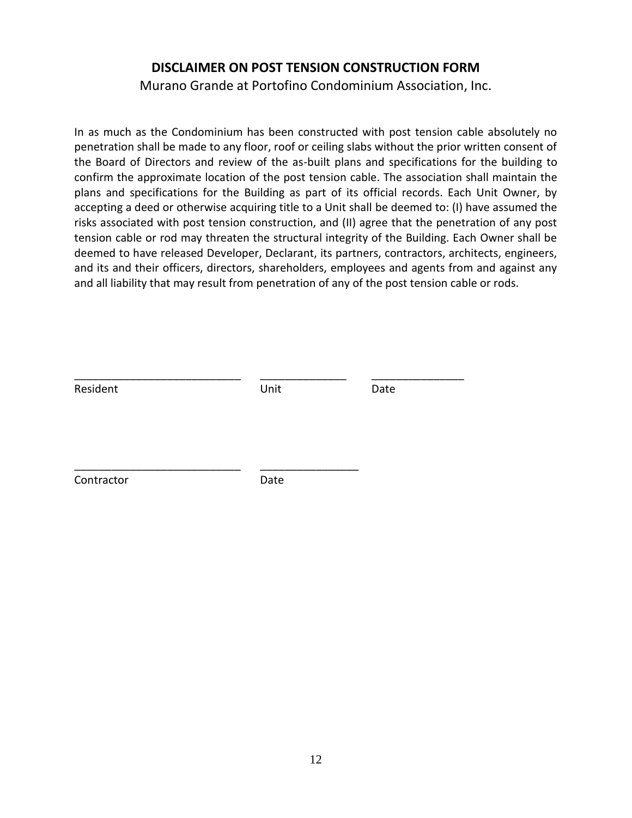# **DISCLAIMER ON POST TENSION CONSTRUCTION FORM**

Murano Grande at Portofino Condominium Association, Inc.

In as much as the Condominium has been constructed with post tension cable absolutely no penetration shall be made to any floor, roof or ceiling slabs without the prior written consent of the Board of Directors and review of the as-built plans and specifications for the building to confirm the approximate location of the post tension cable. The association shall maintain the plans and specifications for the Building as part of its official records. Each Unit Owner, by accepting a deed or otherwise acquiring title to a Unit shall be deemed to: (I) have assumed the risks associated with post tension construction, and (II) agree that the penetration of any post tension cable or rod may threaten the structural integrity of the Building. Each Owner shall be deemed to have released Developer, Declarant, its partners, contractors, architects, engineers, and its and their officers, directors, shareholders, employees and agents from and against any and all liability that may result from penetration of any of the post tension cable or rods.

| Resident   | Unit | Date |
|------------|------|------|
|            |      |      |
|            |      |      |
| Contractor | Date |      |
|            |      |      |